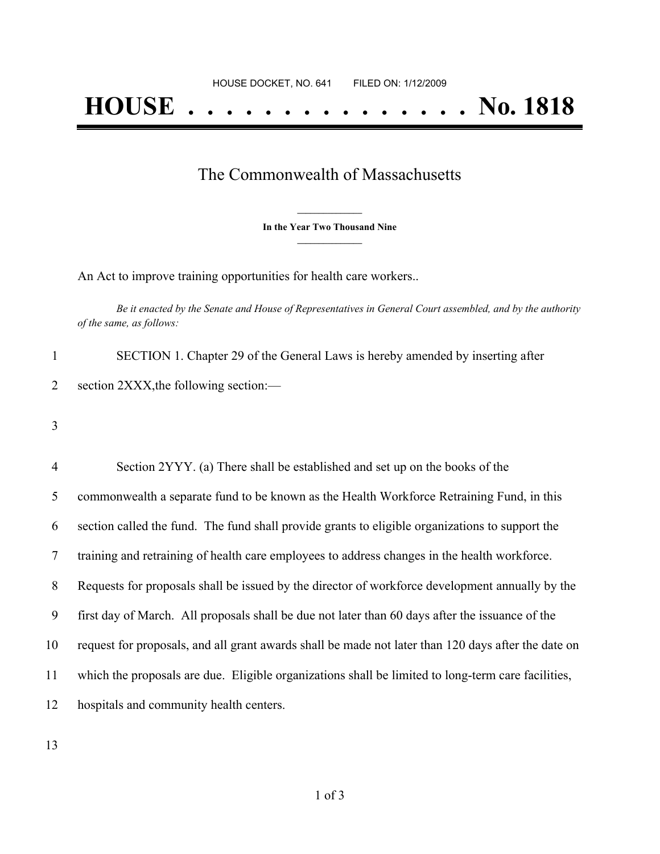## The Commonwealth of Massachusetts

**\_\_\_\_\_\_\_\_\_\_\_\_\_\_\_ In the Year Two Thousand Nine \_\_\_\_\_\_\_\_\_\_\_\_\_\_\_**

An Act to improve training opportunities for health care workers..

Be it enacted by the Senate and House of Representatives in General Court assembled, and by the authority *of the same, as follows:*

1 SECTION 1. Chapter 29 of the General Laws is hereby amended by inserting after 2 section 2XXX, the following section:—

3

 Section 2YYY. (a) There shall be established and set up on the books of the commonwealth a separate fund to be known as the Health Workforce Retraining Fund, in this section called the fund. The fund shall provide grants to eligible organizations to support the training and retraining of health care employees to address changes in the health workforce. Requests for proposals shall be issued by the director of workforce development annually by the first day of March. All proposals shall be due not later than 60 days after the issuance of the request for proposals, and all grant awards shall be made not later than 120 days after the date on which the proposals are due. Eligible organizations shall be limited to long-term care facilities, hospitals and community health centers.

13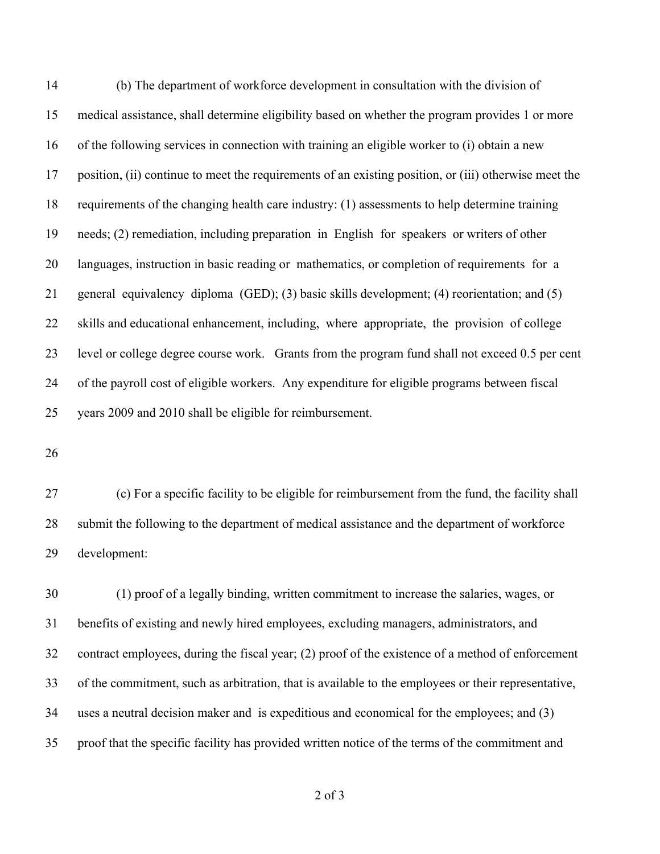(b) The department of workforce development in consultation with the division of medical assistance, shall determine eligibility based on whether the program provides 1 or more of the following services in connection with training an eligible worker to (i) obtain a new position, (ii) continue to meet the requirements of an existing position, or (iii) otherwise meet the requirements of the changing health care industry: (1) assessments to help determine training needs; (2) remediation, including preparation in English for speakers or writers of other languages, instruction in basic reading or mathematics, or completion of requirements for a general equivalency diploma (GED); (3) basic skills development; (4) reorientation; and (5) skills and educational enhancement, including, where appropriate, the provision of college level or college degree course work. Grants from the program fund shall not exceed 0.5 per cent of the payroll cost of eligible workers. Any expenditure for eligible programs between fiscal years 2009 and 2010 shall be eligible for reimbursement.

 (c) For a specific facility to be eligible for reimbursement from the fund, the facility shall submit the following to the department of medical assistance and the department of workforce development:

 (1) proof of a legally binding, written commitment to increase the salaries, wages, or benefits of existing and newly hired employees, excluding managers, administrators, and contract employees, during the fiscal year; (2) proof of the existence of a method of enforcement of the commitment, such as arbitration, that is available to the employees or their representative, uses a neutral decision maker and is expeditious and economical for the employees; and (3) proof that the specific facility has provided written notice of the terms of the commitment and

of 3